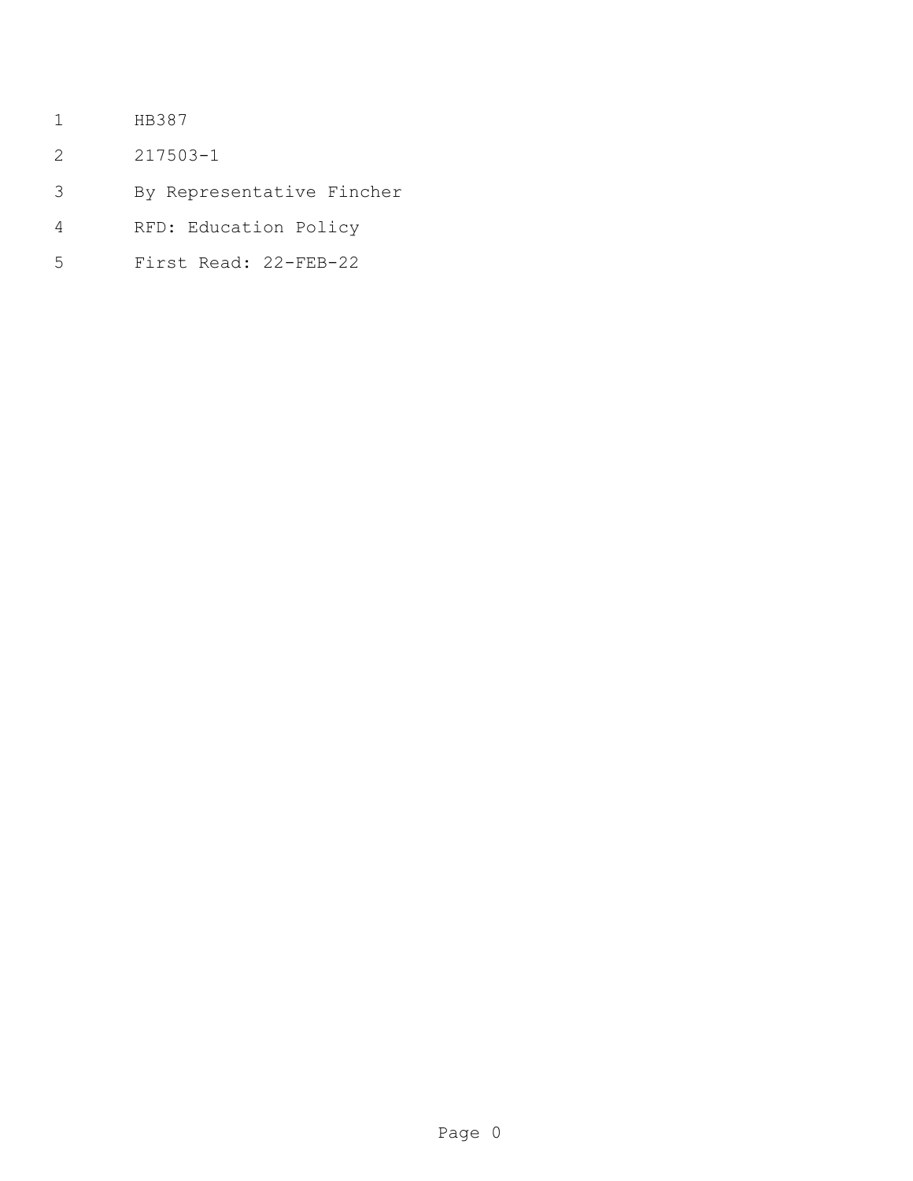- HB387
- 217503-1
- By Representative Fincher
- RFD: Education Policy
- First Read: 22-FEB-22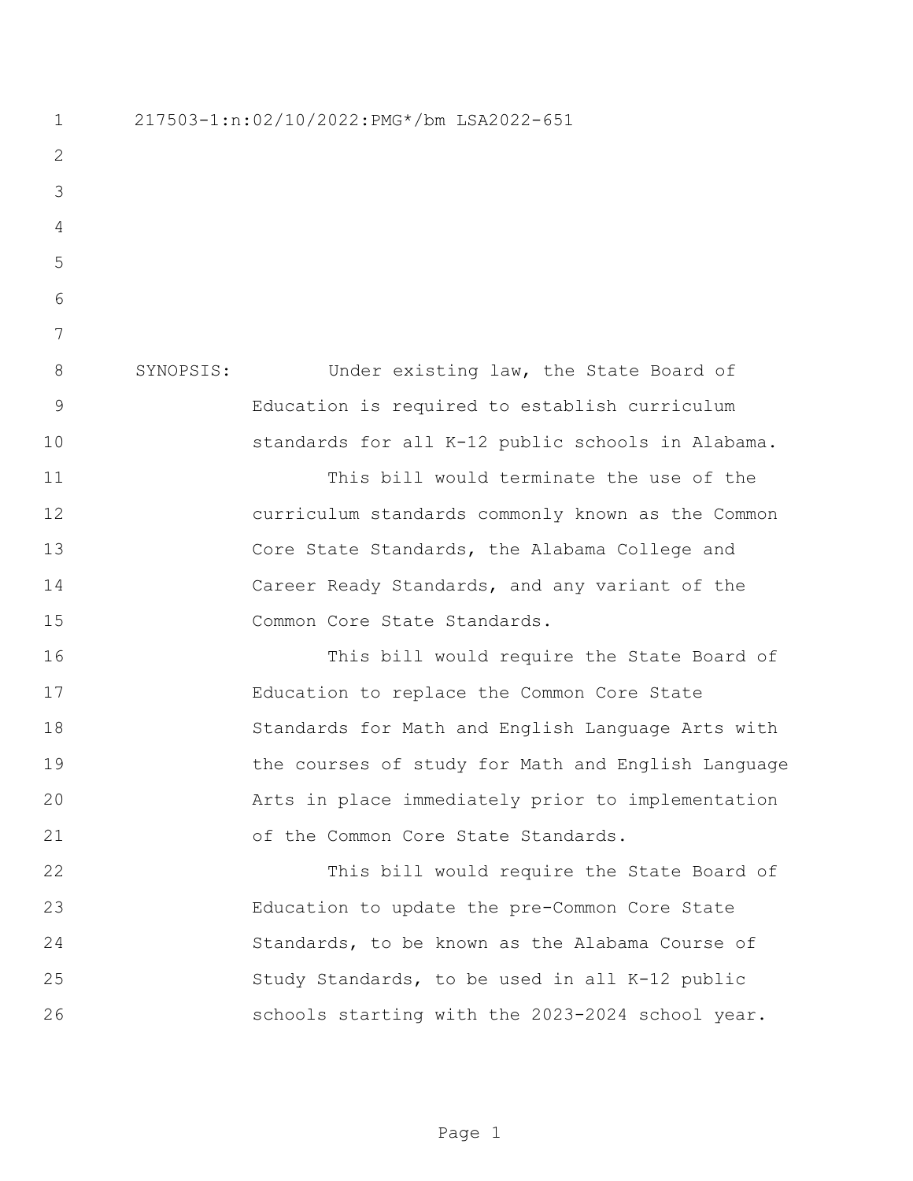217503-1:n:02/10/2022:PMG\*/bm LSA2022-651 SYNOPSIS: Under existing law, the State Board of Education is required to establish curriculum standards for all K-12 public schools in Alabama. This bill would terminate the use of the curriculum standards commonly known as the Common Core State Standards, the Alabama College and Career Ready Standards, and any variant of the 15 Common Core State Standards. This bill would require the State Board of Education to replace the Common Core State Standards for Math and English Language Arts with the courses of study for Math and English Language Arts in place immediately prior to implementation 21 of the Common Core State Standards. This bill would require the State Board of Education to update the pre-Common Core State Standards, to be known as the Alabama Course of Study Standards, to be used in all K-12 public schools starting with the 2023-2024 school year.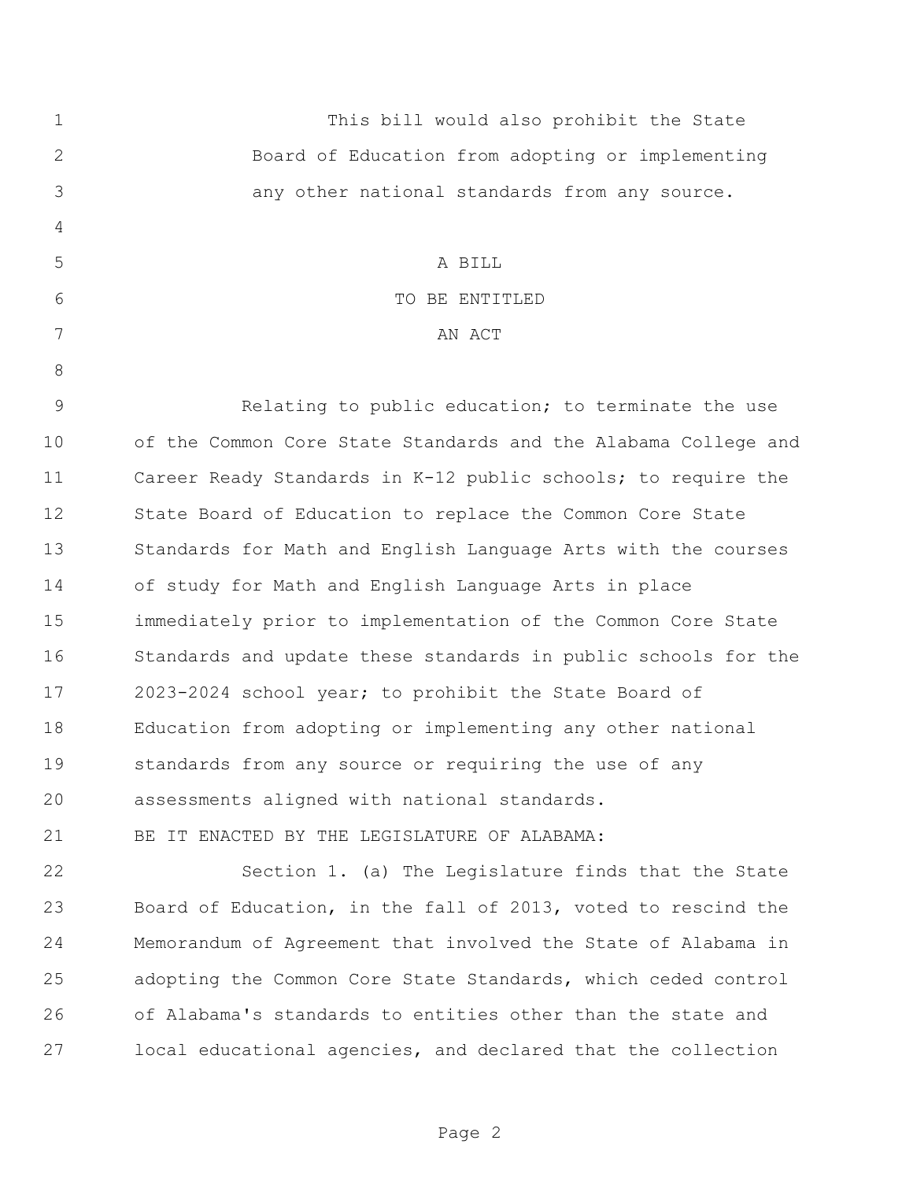| $\mathbf 1$  | This bill would also prohibit the State                        |
|--------------|----------------------------------------------------------------|
| $\mathbf{2}$ | Board of Education from adopting or implementing               |
| 3            | any other national standards from any source.                  |
| 4            |                                                                |
| 5            | A BILL                                                         |
| 6            | TO BE ENTITLED                                                 |
| 7            | AN ACT                                                         |
| 8            |                                                                |
| 9            | Relating to public education; to terminate the use             |
| 10           | of the Common Core State Standards and the Alabama College and |
| 11           | Career Ready Standards in K-12 public schools; to require the  |
| 12           | State Board of Education to replace the Common Core State      |
| 13           | Standards for Math and English Language Arts with the courses  |
| 14           | of study for Math and English Language Arts in place           |
| 15           | immediately prior to implementation of the Common Core State   |
| 16           | Standards and update these standards in public schools for the |
| 17           | 2023-2024 school year; to prohibit the State Board of          |
| 18           | Education from adopting or implementing any other national     |
| 19           | standards from any source or requiring the use of any          |
| 20           | assessments aligned with national standards.                   |
| 21           | BE IT ENACTED BY THE LEGISLATURE OF ALABAMA:                   |
| 22           | Section 1. (a) The Legislature finds that the State            |
| 23           | Board of Education, in the fall of 2013, voted to rescind the  |
| 24           | Memorandum of Agreement that involved the State of Alabama in  |
| 25           | adopting the Common Core State Standards, which ceded control  |
| 26           | of Alabama's standards to entities other than the state and    |

local educational agencies, and declared that the collection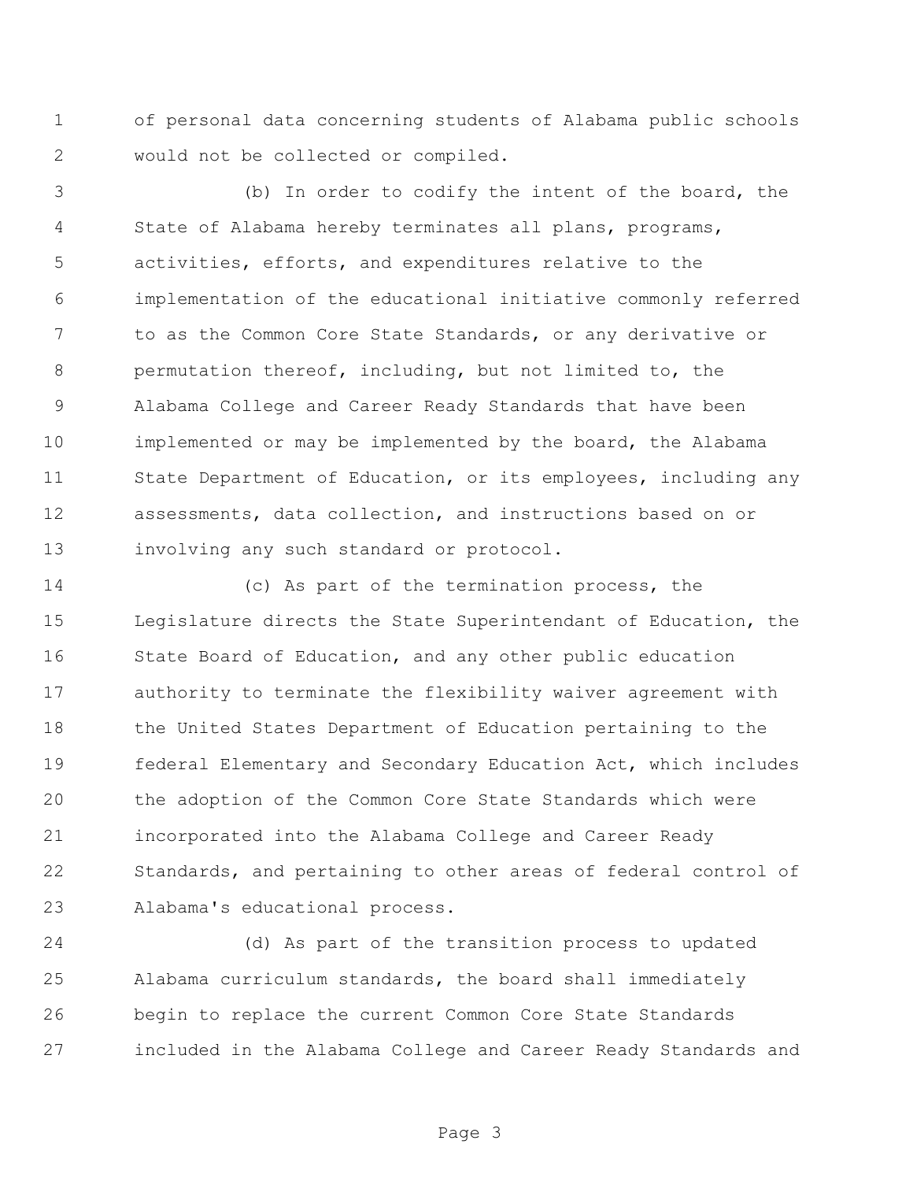of personal data concerning students of Alabama public schools would not be collected or compiled.

 (b) In order to codify the intent of the board, the State of Alabama hereby terminates all plans, programs, activities, efforts, and expenditures relative to the implementation of the educational initiative commonly referred to as the Common Core State Standards, or any derivative or permutation thereof, including, but not limited to, the Alabama College and Career Ready Standards that have been implemented or may be implemented by the board, the Alabama State Department of Education, or its employees, including any assessments, data collection, and instructions based on or 13 involving any such standard or protocol.

 (c) As part of the termination process, the Legislature directs the State Superintendant of Education, the State Board of Education, and any other public education authority to terminate the flexibility waiver agreement with 18 the United States Department of Education pertaining to the federal Elementary and Secondary Education Act, which includes the adoption of the Common Core State Standards which were incorporated into the Alabama College and Career Ready Standards, and pertaining to other areas of federal control of Alabama's educational process.

 (d) As part of the transition process to updated Alabama curriculum standards, the board shall immediately begin to replace the current Common Core State Standards included in the Alabama College and Career Ready Standards and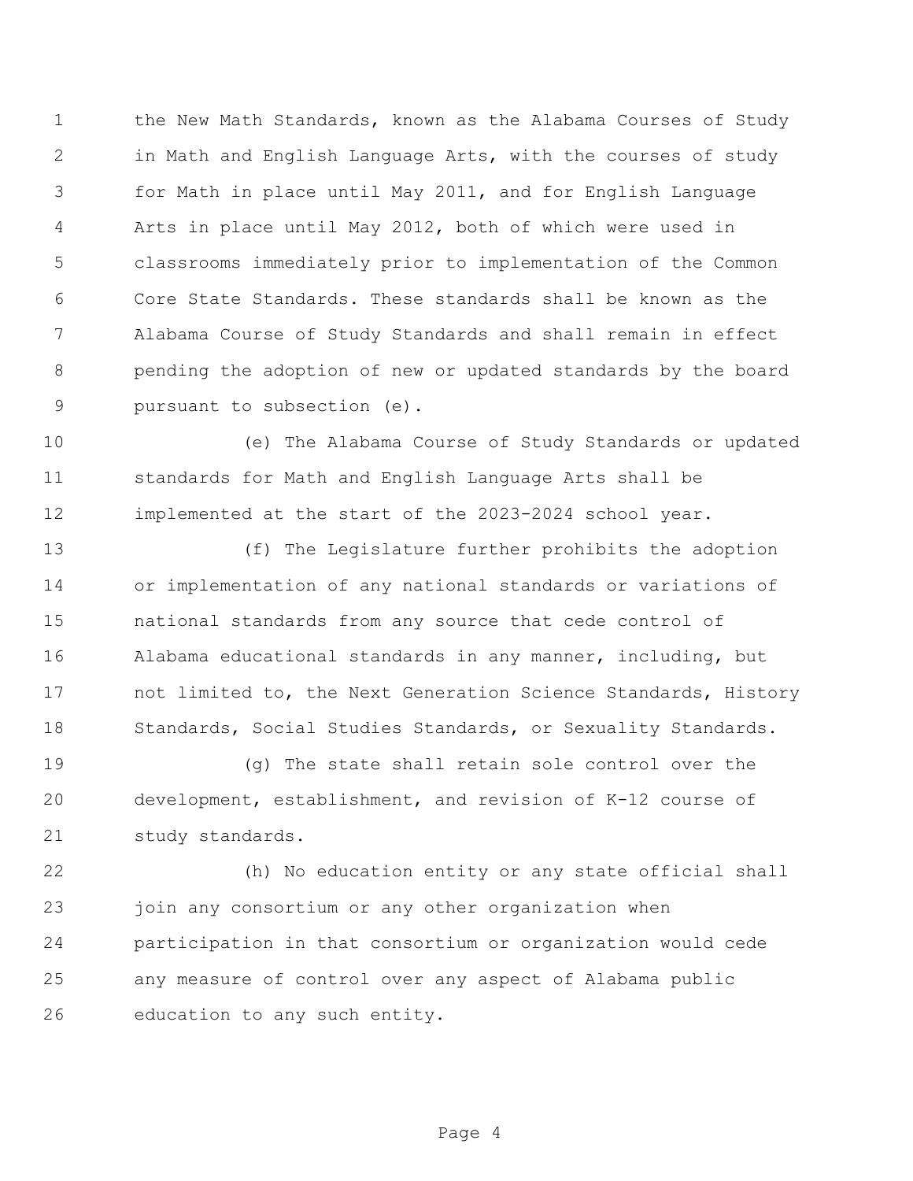1 the New Math Standards, known as the Alabama Courses of Study in Math and English Language Arts, with the courses of study for Math in place until May 2011, and for English Language Arts in place until May 2012, both of which were used in classrooms immediately prior to implementation of the Common Core State Standards. These standards shall be known as the Alabama Course of Study Standards and shall remain in effect pending the adoption of new or updated standards by the board pursuant to subsection (e).

 (e) The Alabama Course of Study Standards or updated standards for Math and English Language Arts shall be implemented at the start of the 2023-2024 school year.

 (f) The Legislature further prohibits the adoption or implementation of any national standards or variations of national standards from any source that cede control of Alabama educational standards in any manner, including, but not limited to, the Next Generation Science Standards, History 18 Standards, Social Studies Standards, or Sexuality Standards.

 (g) The state shall retain sole control over the development, establishment, and revision of K-12 course of study standards.

 (h) No education entity or any state official shall join any consortium or any other organization when participation in that consortium or organization would cede any measure of control over any aspect of Alabama public education to any such entity.

Page 4